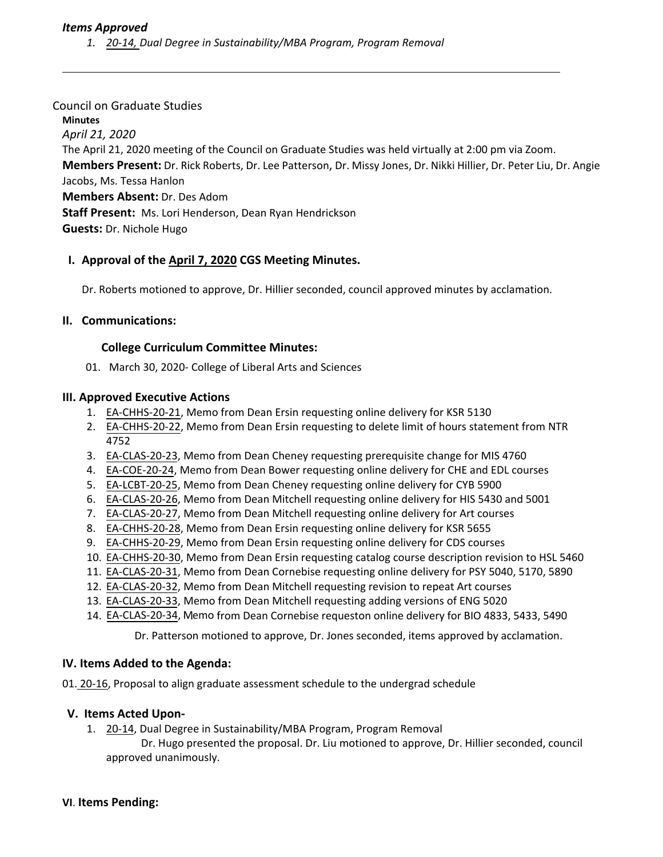# *Items Approved*

*1. 20‐[14,](https://castle.eiu.edu/eiucgs/currentagendaitems/agenda20-14.pdf) Dual Degree in Sustainability/MBA Program, Program Removal*

#### Council on Graduate Studies

**Minutes** *April 21, 2020* The April 21, 2020 meeting of the Council on Graduate Studies was held virtually at 2:00 pm via Zoom. **Members Present:** Dr. Rick Roberts, Dr. Lee Patterson, Dr. Missy Jones, Dr. Nikki Hillier, Dr. Peter Liu, Dr. Angie Jacobs, Ms. Tessa Hanlon **Members Absent:** Dr. Des Adom **Staff Present:** Ms. Lori Henderson, Dean Ryan Hendrickson **Guests:** Dr. Nichole Hugo

## **I. Approval of the April 7, [2020](https://castle.eiu.edu/~eiucgs/currentminutes/Minutes4-7-20.pdf) CGS Meeting Minutes.**

Dr. Roberts motioned to approve, Dr. Hillier seconded, council approved minutes by acclamation.

## **II. Communications:**

#### **College Curriculum Committee Minutes:**

01. March 30, 2020‐ College of Liberal Arts and Sciences

#### **III. Approved Executive Actions**

- 1. EA-CHHS-20-[21,](http://castle.eiu.edu/eiucgs/exec-actions/EA-CHHS-20-21.pdf) Memo from Dean Ersin requesting online delivery for KSR 5130
- 2. EA-CHHS-20-[22,](http://castle.eiu.edu/eiucgs/exec-actions/EA-CHHS-20-22.pdf) Memo from Dean Ersin requesting to delete limit of hours statement from NTR 4752
- 3. EA-[CLAS](http://castle.eiu.edu/eiucgs/exec-actions/EA-CLAS-20-23.pdf)-20-23, Memo from Dean Cheney requesting prerequisite change for MIS 4760
- 4. EA-[COE](http://castle.eiu.edu/eiucgs/exec-actions/EA-COE-20-24.pdf)-20-24, Memo from Dean Bower requesting online delivery for CHE and EDL courses
- 5. EA‐[LCBT](http://castle.eiu.edu/eiucgs/exec-actions/EA-LCBT-20-25.pdf)‐20‐25, Memo from Dean Cheney requesting online delivery for CYB 5900
- 6. EA‐[CLAS](http://castle.eiu.edu/eiucgs/exec-actions/EA-CLAS-20-26.pdf)‐20‐26, Memo from Dean Mitchell requesting online delivery for HIS 5430 and 5001
- 7. EA‐[CLAS](http://castle.eiu.edu/eiucgs/exec-actions/EA-CLAS-20-27.pdf)‐20‐27, Memo from Dean Mitchell requesting online delivery for Art courses
- 8. EA‐[CHHS](http://castle.eiu.edu/eiucgs/exec-actions/EA-CHHS-20-28.pdf)‐20‐28, Memo from Dean Ersin requesting online delivery for KSR 5655
- 9. EA-[CHHS](http://castle.eiu.edu/eiucgs/exec-actions/EA-CHHS-20-29.pdf)-20-29, Memo from Dean Ersin requesting online delivery for CDS courses
- 10. EA‐[CHHS](http://castle.eiu.edu/eiucgs/exec-actions/EA-CHHS-20-30.pdf)‐20‐30, Memo from Dean Ersin requesting catalog course description revision to HSL 5460
- 11. EA‐[CLAS](http://castle.eiu.edu/eiucgs/exec-actions/EA-CHHS-20-31.pdf)‐20‐31, Memo from Dean Cornebise requesting online delivery for PSY 5040, 5170, 5890
- 12. EA‐[CLAS](http://castle.eiu.edu/eiucgs/exec-actions/EA-CLAS-20-32.pdf)‐20‐32, Memo from Dean Mitchell requesting revision to repeat Art courses
- 13. EA‐[CLAS](http://castle.eiu.edu/eiucgs/exec-actions/EA-CLAS-20-33.pdf)‐20‐33, Memo from Dean Mitchell requesting adding versions of ENG 5020
- 14. EA-[CLAS](http://castle.eiu.edu/eiucgs/exec-actions/EA-CLAS-20-34.pdf)-20-34, Memo from Dean Cornebise requeston online delivery for BIO 4833, 5433, 5490

Dr. Patterson motioned to approve, Dr. Jones seconded, items approved by acclamation.

## **IV. Items Added to the Agenda:**

0[1. 20](https://castle.eiu.edu/eiucgs/currentagendaitems/agenda20-16.pdf)‐16, Proposal to align graduate assessment schedule to the undergrad schedule

## **V. Items Acted Upon‐**

- 1. [20](https://castle.eiu.edu/eiucgs/currentagendaitems/agenda20-14.pdf)-14, Dual Degree in Sustainability/MBA Program, Program Removal
	- Dr. Hugo presented the proposal. Dr. Liu motioned to approve, Dr. Hillier seconded, council approved unanimously.

#### **VI**. **Items Pending:**